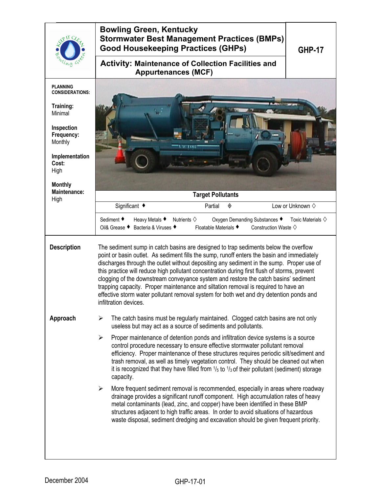|                                                                                                                                                               | <b>Bowling Green, Kentucky</b><br><b>Stormwater Best Management Practices (BMPs)</b><br><b>Good Housekeeping Practices (GHPs)</b><br><b>GHP-17</b>                                                                                                                                                                                                                                                                                                                                                                                                                                                                                                                             |  |  |
|---------------------------------------------------------------------------------------------------------------------------------------------------------------|--------------------------------------------------------------------------------------------------------------------------------------------------------------------------------------------------------------------------------------------------------------------------------------------------------------------------------------------------------------------------------------------------------------------------------------------------------------------------------------------------------------------------------------------------------------------------------------------------------------------------------------------------------------------------------|--|--|
|                                                                                                                                                               | <b>Activity: Maintenance of Collection Facilities and</b><br><b>Appurtenances (MCF)</b>                                                                                                                                                                                                                                                                                                                                                                                                                                                                                                                                                                                        |  |  |
| <b>PLANNING</b><br><b>CONSIDERATIONS:</b><br>Training:<br>Minimal<br>Inspection<br>Frequency:<br>Monthly<br>Implementation<br>Cost:<br>High<br><b>Monthly</b> |                                                                                                                                                                                                                                                                                                                                                                                                                                                                                                                                                                                                                                                                                |  |  |
| Maintenance:<br>High                                                                                                                                          | <b>Target Pollutants</b>                                                                                                                                                                                                                                                                                                                                                                                                                                                                                                                                                                                                                                                       |  |  |
|                                                                                                                                                               | Significant ◆<br>Low or Unknown $\diamond$<br>Partial<br>◈<br>Sediment ♦<br>Heavy Metals ♦<br>Nutrients $\diamondsuit$<br>Oxygen Demanding Substances ♦<br>Toxic Materials $\diamondsuit$<br>Bacteria & Viruses ♦<br>Floatable Materials ♦<br>Oil& Grease ♦<br>Construction Waste $\diamondsuit$                                                                                                                                                                                                                                                                                                                                                                               |  |  |
| <b>Description</b>                                                                                                                                            | The sediment sump in catch basins are designed to trap sediments below the overflow<br>point or basin outlet. As sediment fills the sump, runoff enters the basin and immediately<br>discharges through the outlet without depositing any sediment in the sump. Proper use of<br>this practice will reduce high pollutant concentration during first flush of storms, prevent<br>clogging of the downstream conveyance system and restore the catch basins' sediment<br>trapping capacity. Proper maintenance and siltation removal is required to have an<br>effective storm water pollutant removal system for both wet and dry detention ponds and<br>infiltration devices. |  |  |
| Approach                                                                                                                                                      | The catch basins must be regularly maintained. Clogged catch basins are not only<br>➤<br>useless but may act as a source of sediments and pollutants.                                                                                                                                                                                                                                                                                                                                                                                                                                                                                                                          |  |  |
|                                                                                                                                                               | Proper maintenance of detention ponds and infiltration device systems is a source<br>≻<br>control procedure necessary to ensure effective stormwater pollutant removal<br>efficiency. Proper maintenance of these structures requires periodic silt/sediment and<br>trash removal, as well as timely vegetation control. They should be cleaned out when<br>it is recognized that they have filled from $\frac{1}{5}$ to $\frac{1}{3}$ of their pollutant (sediment) storage<br>capacity.                                                                                                                                                                                      |  |  |
|                                                                                                                                                               | More frequent sediment removal is recommended, especially in areas where roadway<br>≻<br>drainage provides a significant runoff component. High accumulation rates of heavy<br>metal contaminants (lead, zinc, and copper) have been identified in these BMP<br>structures adjacent to high traffic areas. In order to avoid situations of hazardous<br>waste disposal, sediment dredging and excavation should be given frequent priority.                                                                                                                                                                                                                                    |  |  |